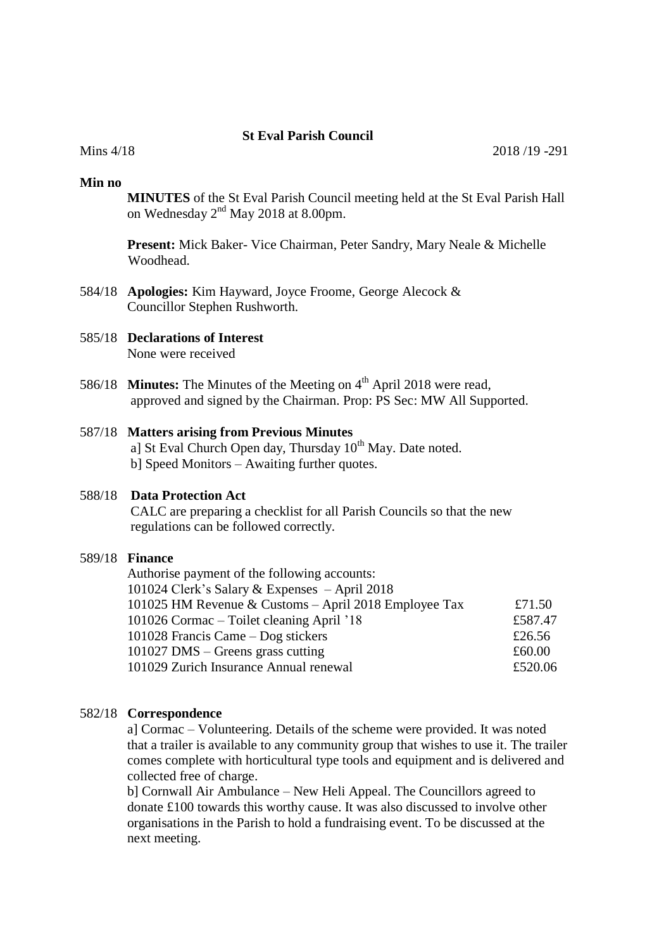# **St Eval Parish Council**

#### **Min no**

**MINUTES** of the St Eval Parish Council meeting held at the St Eval Parish Hall on Wednesday 2<sup>nd</sup> May 2018 at 8.00pm.

**Present:** Mick Baker- Vice Chairman, Peter Sandry, Mary Neale & Michelle Woodhead.

584/18 **Apologies:** Kim Hayward, Joyce Froome, George Alecock & Councillor Stephen Rushworth.

# 585/18 **Declarations of Interest**

None were received

586/18 **Minutes:** The Minutes of the Meeting on 4<sup>th</sup> April 2018 were read, approved and signed by the Chairman. Prop: PS Sec: MW All Supported.

### 587/18 **Matters arising from Previous Minutes**

a] St Eval Church Open day, Thursday 10<sup>th</sup> May. Date noted. b] Speed Monitors – Awaiting further quotes.

#### 588/18 **Data Protection Act**

 CALC are preparing a checklist for all Parish Councils so that the new regulations can be followed correctly.

#### 589/18 **Finance**

| Authorise payment of the following accounts:          |         |
|-------------------------------------------------------|---------|
| 101024 Clerk's Salary & Expenses $-$ April 2018       |         |
| 101025 HM Revenue & Customs - April 2018 Employee Tax | £71.50  |
| 101026 Cormac – Toilet cleaning April '18             | £587.47 |
| 101028 Francis Came $-$ Dog stickers                  | £26.56  |
| $101027$ DMS – Greens grass cutting                   | £60.00  |
| 101029 Zurich Insurance Annual renewal                | £520.06 |
|                                                       |         |

#### 582/18 **Correspondence**

 a] Cormac – Volunteering. Details of the scheme were provided. It was noted that a trailer is available to any community group that wishes to use it. The trailer comes complete with horticultural type tools and equipment and is delivered and collected free of charge.

 b] Cornwall Air Ambulance – New Heli Appeal. The Councillors agreed to donate £100 towards this worthy cause. It was also discussed to involve other organisations in the Parish to hold a fundraising event. To be discussed at the next meeting.